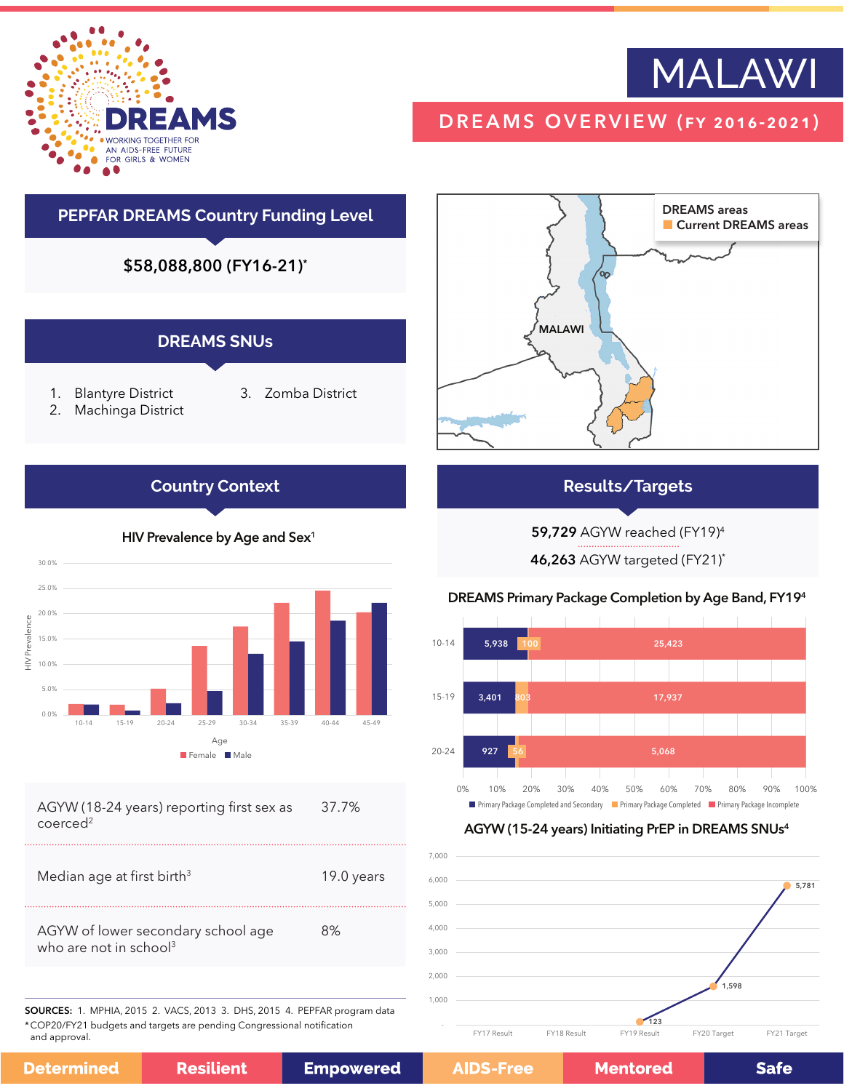



## DREAMS OVERVIEW (fy 2016-2021)

# **PEPFAR DREAMS Country Funding Level** \$58,088,800 (FY16-21)\* **DREAMS SNUs**

- 1. Blantyre District
- 3. Zomba District
- 2. Machinga District

## **Country Context**



| AGYW (18-24 years) reporting first sex as | 37.7% |
|-------------------------------------------|-------|
| coerced <sup>2</sup>                      |       |

| Median age at first birth <sup>3</sup>                                   | 19.0 years |
|--------------------------------------------------------------------------|------------|
| AGYW of lower secondary school age<br>who are not in school <sup>3</sup> | 8%         |

SOURCES: 1. MPHIA, 2015 2. VACS, 2013 3. DHS, 2015 4. PEPFAR program data \*COP20/FY21 budgets and targets are pending Congressional notification and approval.



## **Results/Targets**

59,729 AGYW reached (FY19)4

46,263 AGYW targeted (FY21)\*

## DREAMS Primary Package Completion by Age Band, FY194



## AGYW (15-24 years) Initiating PrEP in DREAMS SNUs4